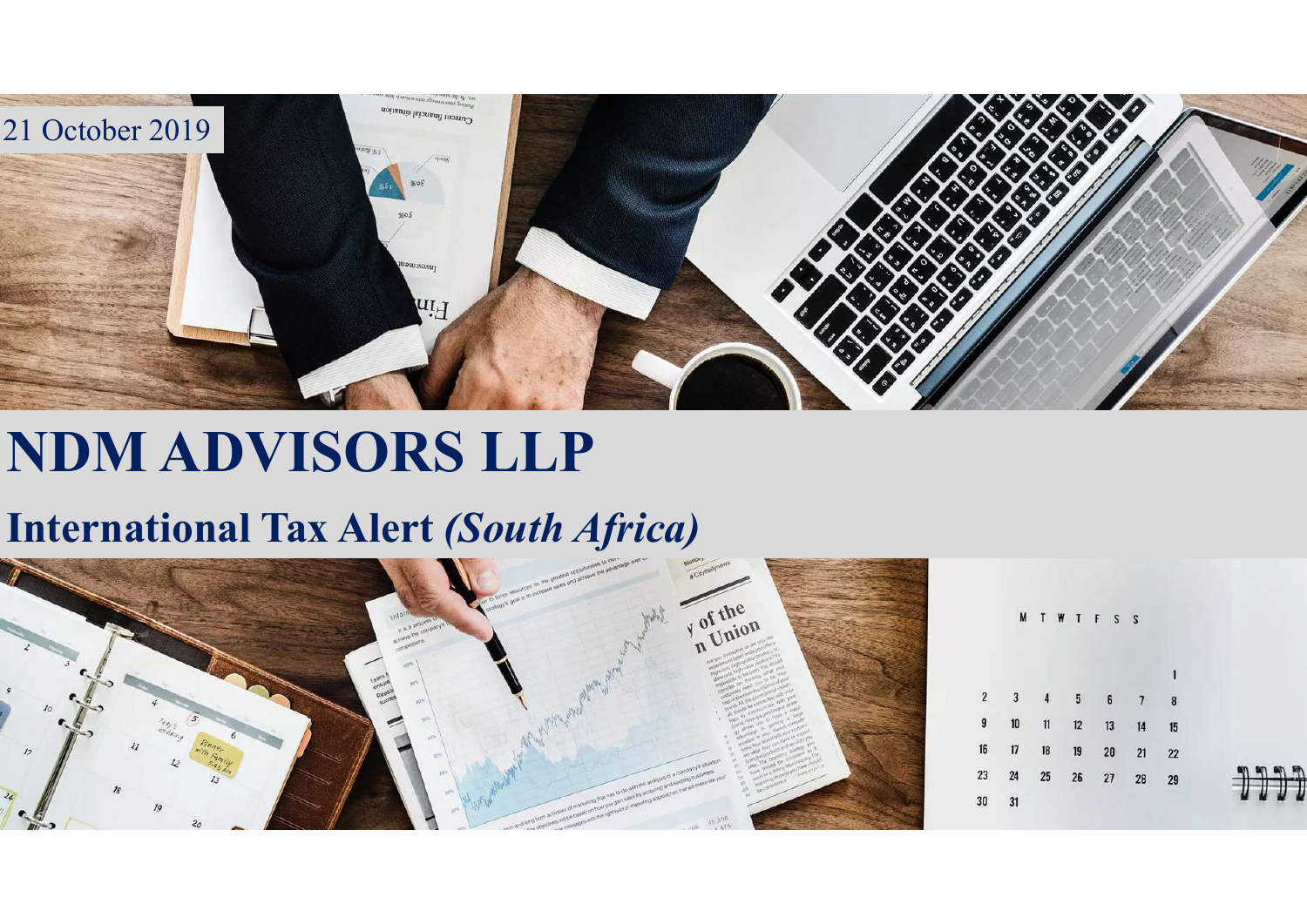

## NDM ADVISORS LLP

## International Tax Alert (South Africa)

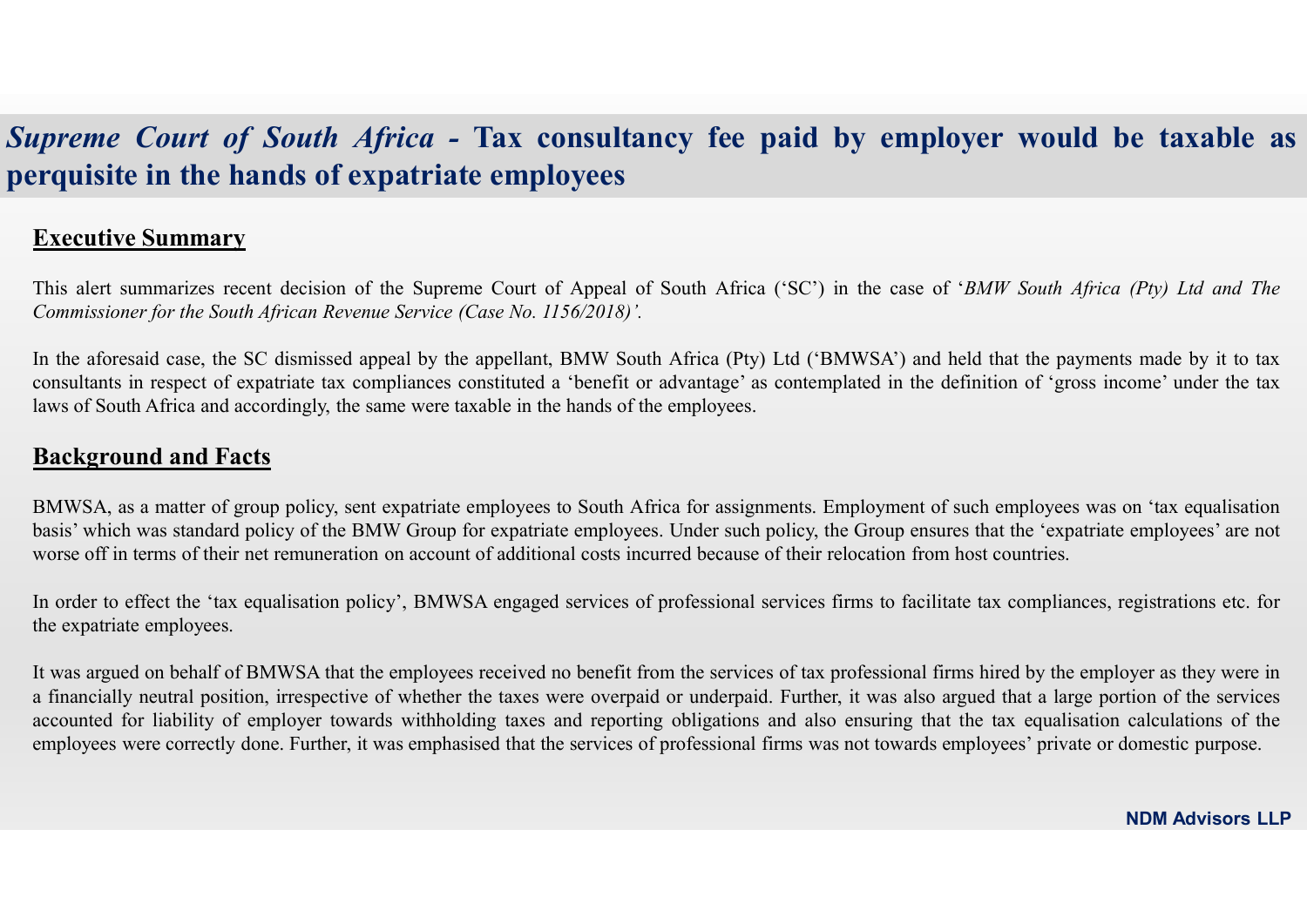# Supreme Court of South Africa - Tax consultancy fee paid by employer would be taxable as<br>perquisite in the hands of expatriate employees<br>Executive Summary Supreme Court of South Africa - Tax consultancy fee paid by employer<br>perquisite in the hands of expatriate employees<br>Executive Summary **South Africa - Tax consultary**<br> **Executive Summary**<br> **Executive Summary**<br>
This alert summarizes recent decision of the Supreme Court of Appeal of<br> *Commissioner for the South African Revenue Service (Case No. 1156/2018)*. **Executive Summary**<br> **This alert summary**<br> **Executive Summary**<br>
This alert summarizes recent decision of the Supreme Court of Appeal of South Africa ('SC') in the case of 'BMW South Africa (Pty) Ltd and The Commissioner fo

**South Africa - Tax consultancy fee paid by employer were paid to the South African Commissioner for the bands of expatriate employees**<br> **Executive Summary**<br>
This alert summarizes recent decision of the Supreme Court of **Executive Summary**<br> **Executive Summary**<br> **Executive Summary**<br> **Executive Summary**<br>
This alert summarizes recent decision of the Supreme Court of Appeal of South Africa ('SC') in the case of '*BMW South Africa (Pty) Ltd an* **consultants in respect of expatriate employees**<br> **Executive Summary**<br> **Executive Summary**<br>
This alert summarizes recent decision of the Supreme Court of Appeal of South Africa ('SC') in the case of '*BMW South Africa (Pty* **Executive Summary**<br> **Executive Summary**<br> **Executive Summary**<br> **Executive Summary**<br> **Executive Summary**<br> **EXECUTIVE SUMMA**<br> **EXECUTIVE SUMMA**<br> **EXECUTIVE SUMMA**<br> **EXECUTIVE SUMMA**<br> **EXECUTE IN A SUMMA**<br> **EXECUTE IN A SUMMA upreme Court of South Africa - Tax consultancy for expairing to the superally and Set of expatriate employees**<br> **Executive Summary**<br>
This alert summarizes recent decision of the Supreme Court of Appeal of South *A Commis* **Executive Courf of South Africa - Tax consultancy fee paid by employer would be taxable as erquisite in the hands of expatriate employees expatriate employees**  $\frac{1}{2}$  **This alsert summary.<br>This alert summarizes recent de** *spremie Court of South Africa -* Tax consultancy fee paid by employer would be taxable as requisite in the hands of expatriate employees.<br>
<u>Executive Summary</u><br>
This alert summarizes recent decision of the Supreme Court of **Executive in the hands of expatriate employees**<br> **Executive Summary**<br>
This alert summarizes recent decision of the Supreme Court of Appeal of South Africa (SCC) in the case of *HMW South Africa (Pty) 11d ond The*<br> *Ummis* **Executive Summary**<br>
This alert summarizes recent decision of the Supreme Court of Appeal of South Africa ('SC') in the case of '*BMW South Africa (Pty) 1id ond The*<br> *Commissioner for the South African Revenue Service (Ca* **Executive Summary**<br>This alert summarizes recent decision of the Supreme Court of Appeal of<br>Commissioner for the South African Revenue Service (Case No. 1156/2018)'.<br>In the aforesaid case, the SC dismissed appeal by the ap

This alert summarizes recent decision of the Supreme Court of Appeal of South Africa (SC') in the case of '*BMW South Africa (Pty) Ltd and The* Commissioner for the South African Revenue Service (Case No. 1156/2018).<br>In th Commissioner for the South African Revenue Service (Case No. 1156/2018):<br>
In the aforesaid case, the SC dismissed appeal by the appellant, BMW South Africa (Pty) Ltd ('BMWSA') and held that the payments made by it to taxe In the aforesaid case, the SC dismissed appeal by the appellant, IBMW South Africa (Pty) Ltd ('BMWSA') and held that the payments made by it to tax consultants in respect of expatriate tax compliances constituted a benefit In the aforesaid case, the SC dismissed appeal by the appellant, HMW South Africa (Pty) Ltd ('HMWSA') and held that the payments made by it to tax constructions in respect of expatrimic tax corrections and exceptingly, the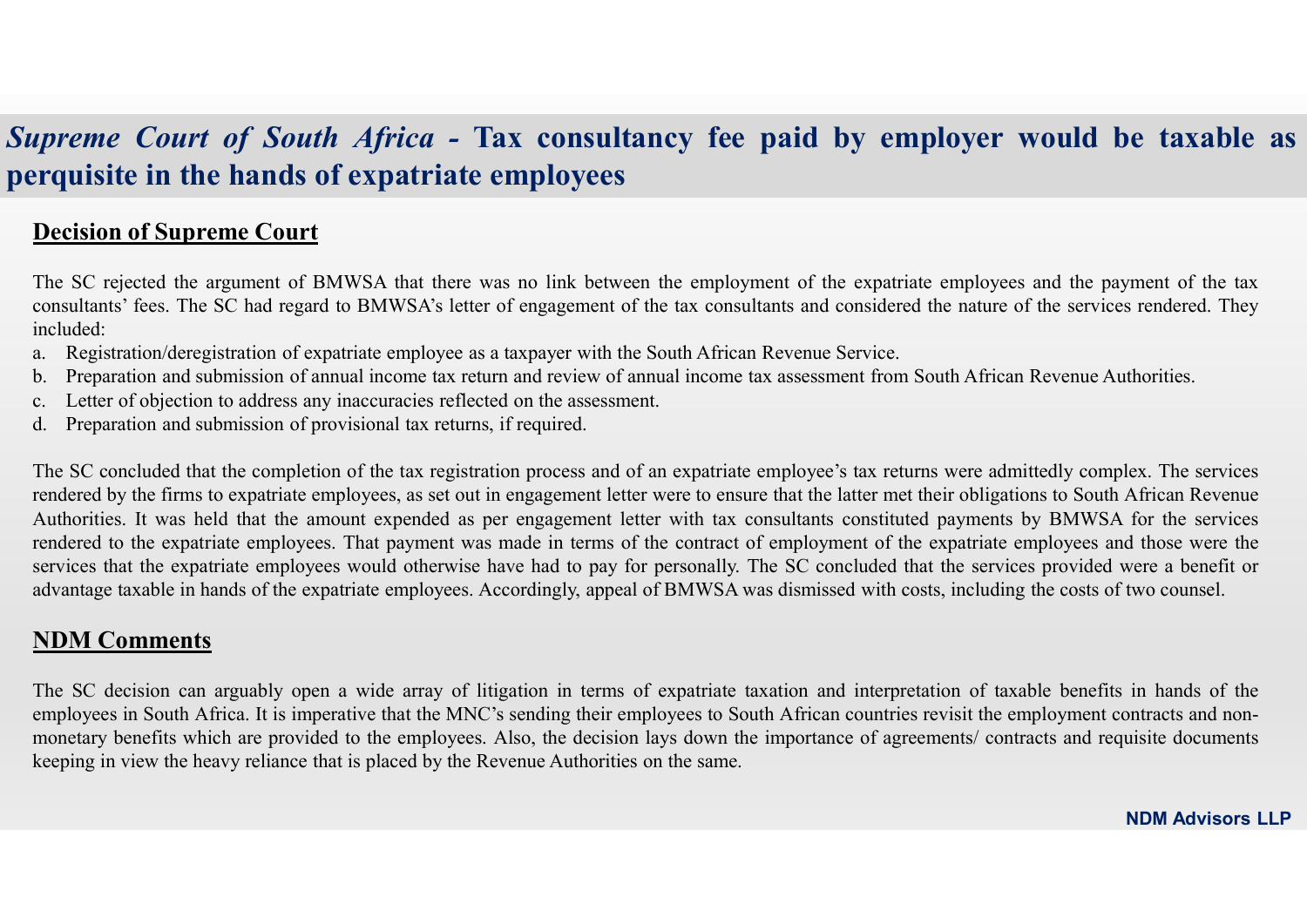## The SC rejected the argument of BMWSA that there was no link between the employment of the expatriate employees and the payment of the tax **consultants:**<br> **consultants'** fees. The SC rejected the argument of BMWSA that there was no link between the employment of the expatriate employees and the payment of the tax consultants' fees. The SC rejected the argumen **Expansion of South Africa - Tax consultancy fee paid by employer would be taxable as <br>
Frquisite in the hands of expatriate employees<br>
Decision of Supreme Court<br>
The SC rejected the argument of BMWSA that there was no lin Expresses Court of South Africa - Tax consultancy fee paid by employer would be taxable as erquisite in the hands of expatriate employees**<br> **Decision of Supreme Court**<br>
The SC rejected the argument of BMWSA that there was Supreme Court of South Africa - Tax consultancy fee paid by employer would be taxable as<br>perquisite in the hands of expatriate employees<br>Decision of Supreme Court Supreme Court of South Africa - Tax consultancy fee paid by employer<br>perquisite in the hands of expatriate employees<br>Decision of Supreme Court<br>The SC rejected the argument of BMWSA that there was no link between the employ

**South Africa - Tax consultancy fee**<br> **Proprime Court of South Africa - Tax consultancy fee**<br> **Decision of Supreme Court**<br>
The SC rejected the argument of BMWSA that there was no link between the employm<br>
consultants' fees included: **Exercise in the hands of expatriate employees**<br> **Consultancy** fee paid by employer would<br> **CONSUMBLE THEORY THEORY THEORY THEORY THEORY THEORY THEORY THEORY THEORY THEORY THEORY THEORY THEORY CONSULTABLY<br>
The SC rejected** 

- 
- 
- 
- 

**Example 2018 19 Constraint Constrainer Court of South Africa - Tax consultancy fee paid by employer requisite in the hands of expatriate employees<br>Decision of Supreme Court<br>The SC rejected the argument of BMWSA that there Example 2 Court of South Africa - Tax consultancy fee paid by employer would be taxable as expansive in the hands of expatriate employees and the employment of the expatriate employees and the payment of the tax consultan Expreme Court of South Africa - Tax consultancy fee paid by employer would be taxable as equisite in the hands of expatriate employees<br>Decision of Supreme Court<br>The SC rejected the argument of BMWSA's letter was no link EXECUTE: Approace COUT A** COULTE AT THAT CONSULTED A CONSULTED THAT THE SECTION OF SUCCISION OF SUPPLICITED THE SC rejected the argument of BMWSA that there was no link hetween the employment of the synatriate employee rendered to the expansion of provisional that results are the expansions of the expatriate employees and the payment of the tax and the expansion of Supreme Court The SC rejected the argument of BMWSA that there was no lin **Expansion is the constrained in the constrained comployees**<br> **Decision of Supreme Court**<br>
The SC rejected the argument of BMWSA's letter was no link between the employment of the expatriate employees and the payment of th **Decision of Supreme Court**<br>The SC rejected the argument of BMWSA that there was no link between the employment of the expatriate employees and the payment of the tax<br>consultants' fees. The SC had regard to BMWSA's letter The SC rejected the argument of BMWSA that there was no link bet<br>consultants' fees. The SC had regard to BMWSA's letter of engagemen<br>included:<br>a. Registration/deregistration of expatriate employee as a taxpayer with.<br>Prepa consultants' fees. The SC had regard to BMWSA's letter of engagement of the tax consultants and considered the nature of the services rendered. They included:<br>
Inchuded:<br>
Inchuded:<br>
In Frepantion and submission of arputal included:<br>
A Registration/deregistration of expatriate employee as a taxpayer with the South African Revenue Service.<br>
I. Perparation and submission of amutal income tax return and review of amutal income tax assessment fr a. Registration/deregistration of expatriate employee as a taxpayer with the South African Revenue Service.<br>
b. Preparation and submission of annual income tax returns and evice of annual income to assessment from South A ket Preparation and submission of annual income lax return and review of annual income tax assessment from South African Revenue Authorities.<br>
Let Celver of objection to address any inaccuracties reflected on the susessmen